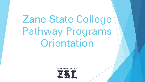# Zane State College Pathway Programs Orientation

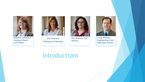

Heather Shepherd Assistant Dean, CCP Office



Kim Atkinson Pathways to Business



Kim Baldwin CCP Advisor



Craig Whitson, Engineering Chair, Pathways Advisor

#### Introductions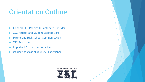#### Orientation Outline

- General CCP Policies & Factors to Consider
- ▶ ZSC Policies and Student Expectations
- **Example 2 Parent and High School Communication**
- **ZSC Resources**
- **Important Student Information**
- ▶ Making the Most of Your ZSC Experience!

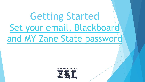# Getting Starte Set your email, Blac and MY Zane State pa

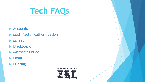# **Tech FAQs**

- $\blacktriangleright$  Accounts
- Multi Factor Authentication
- $My$  ZSC
- Blackboard
- **Microsoft Office**
- $\blacktriangleright$  Email
- $\blacktriangleright$  Printing

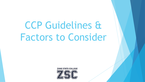CCP Guidelines & Factors to Consider

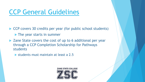## CCP General Guidelines

- $\triangleright$  CCP covers 30 credits per year (for public school
	- $\blacktriangleright$  The year starts in summer
- $\blacktriangleright$  Zane State covers the cost of up to 6 additional through a CCP Completion Scholarship for Pathwa students
	- $\triangleright$  students must maintain at least a 2.5

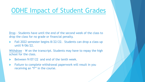## **ODHE Impact of Student Grades**

Drop - Students have until the end of the second week of the drop the class for no grade or financial penalty.

Fall 2022 semester begins 8/22/22. Students can drop a until 9/06/22.

Withdraw - W on the transcript. Students may have to repay the higher school for the class.

- Between 9/07/22 and end of the tenth week.
- Failure to complete withdrawal paperwork will result in y receiving an "F" in the course.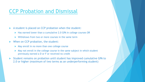#### CCP Probation and Dismissal

 $\blacktriangleright$  A student is placed on CCP probation when the student:

- $\blacktriangleright$  Has earned lower than a cumulative 2.0 GPA in college courses OR
- $\triangleright$  Withdraws from two or more courses in the same term
- $\blacktriangleright$  When on CCP probation, the student:
	- $\blacktriangleright$  May enroll in no more than one college course
	- $\blacktriangleright$  May not enroll in the college course in the same subject in which student previously earned a D or F or received no credit
- $\triangleright$  Student remains on probation until student has improved cumulative GPA states GPA to GPA to GPA states GPA states  $\triangleright$ 2.0 or higher (maximum of two terms as an underperforming stud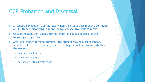#### CCP Probation and Dismissal

- $\blacktriangleright$  A student is placed on CCP Dismissal when the student has met the of CCP Underperforming Student for two consecutive college te
- $\triangleright$  Once dismissed, the student may not enroll in college courses for following college term
- $\blacktriangleright$  After one college term on dismissal, the student may request secondary school to allow student to participate. The high school determine the student
	- $\triangleright$  continues on dismissal
	- $\blacktriangleright$  move to probation
	- $\blacktriangleright$  participate without restrictions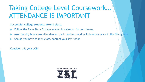### Taking College Level Coursework… ATTENDANCE IS IMPORTANT

**Successful college students attend class.** 

- Follow the Zane State College academic calendar for our classes.
- Most faculty take class attendance, track tardiness and include attendance in the final grade.
- Should you have to miss class, contact your instructor.

Consider this your JOB!

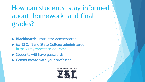## [How can students](https://my.zanestate.edu/ics/) stay infor about homework and final grades?

- u **Blackboard**: Instructor administered
- ▶ My ZSC: Zane State College administered https://my.zanestate.edu/ics/
- $\blacktriangleright$  Students will have passwords
- $\triangleright$  Communicate with your professor

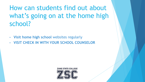How can students find out about what's going on at the home high school?

- **Visit home high school** websites regularly
- **VISIT CHECK IN WITH YOUR SCHOOL COUNSELOR**

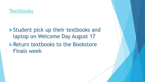#### **Textbooks**

 $\triangleright$  Student pick up their textbooks and laptop on Welcome Day August 17  $\blacktriangleright$  Return textbooks to the Bookstore Finals week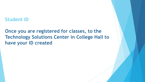#### **Student ID**

#### **Once you are registered for classes, to the Technology Solutions Center in College Hall to have your ID created**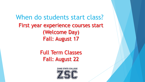When do students start class? First year experience courses start (Welcome Day) Fall: August 17

> Full Term Classes Fall: August 22

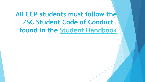**All CCP students must follow ZSC Student Code of C found in the Student Handbook**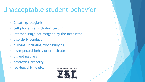### Unacceptable student behavior

- § Cheating/ plagiarism
- § cell phone use (including texting)
- Internet usage not assigned by the instructor.
- disorderly conduct
- § bullying (including cyber-bullying)
- disrespectful behavior or attitude
- disrupting class
- destroying property
- reckless driving etc.

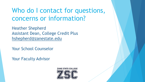### Who do I contact for question concerns or information?

Heather Shepherd Assistant Dean, College Credit Plus hshepherd@zanestate.edu

Your School Counselor

Your Faculty Advisor

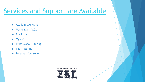### Services and Support are Avail

- $\blacktriangleright$  Academic Advising
- **Muskingum YMCA**
- $\blacktriangleright$  Blackboard
- $\blacktriangleright$  My ZSC
- **Professional Tutoring**
- **Peer Tutoring**
- **Personal Counseling**

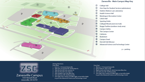

#### Zanesville - Main Campus Map Key

- $^{\circ}$ College Hall
- $^{\circledR}$ One Stop for Student Services (admissions)
- $\circledcirc$ Holdren Watton Law Laboratory
- $^{\circ}$ **Health Science Hall**
- $\circledcirc$ Muskingum Recreation Center
- $\circledcirc$ **Littick Hall**
- $\odot$ **Sporting Fields**
- $\circledcirc$ Collegial Woods (exercise trail)
- $\circledcirc$ Rogge Pavilion (outdoor study area)
- $\circledR$ **Campus Safety**
- $^{\circ}$ The Campus Center
- $\circledR$ Cafeteria
- 13 **Bookstore**
- $\circledR$ **Campus Quad**
- $<sup>③</sup>$ </sup> Herrold Hall (library)
- $<sup>16</sup>$ </sup> Advanced Science and Technology Center

 $p =$  parking

#### ZANE STATE COLLEGE



#### Zanesville Campus

Zanesville, OH 43701

#### **Driving Directions** From West

- 1. East on 1-70 toward Zanesville
- Take exit 153 toward OH-146 W/State St.  $2.$
- Take the first left onto Jackson St. з.
- Take the first left onto State St. 4.
- Stay straight to go onto Blue Ave. 5.
- Turn left onto OH-146/Newark Rd. 6.
- 7. Turn right onto Campus at traffic light; or turn left at light to go to the Advanced Science and Technology Center

#### From East

- 1. West on 1-70 toward Zanesville
- 2. Exit at State St. (Exit 153A)
- Right at exit onto State St. which becomes Blue Ave. 3.
- 4. Turn left onto OH-146/Newark Rd.
- 5. Turn right onto Campus at traffic light; or turn left at light to go to the Advanced Science and Technology Center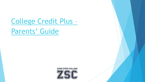## College Credit Plus – Parents' Guide

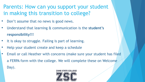#### Parents: How can you support your student in making this transition to college?

- Don't assume that no news is good news.
- Understand that learning & communication is the **student's responsibility!!!**
- It is okay to struggle. Failing is part of learning.
- Help your student create and keep a schedule
- Email or call Heather with concerns (make sure your student has filed a FERPA form with the college. We will complete these on Welcome Day).

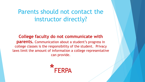#### Parents should not contact the instructor directly?

**College faculty do not communicate with parents.** Communication about a student's progress in college classes is the responsibility of the student. Privacy laws limit the amount of information a college representative can provide.

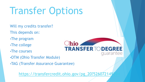# Transfer Options

- Will my credits transfer?
- This depends on:
- •The progr[am](https://transfercredit.ohio.gov/pg_20?526072149394)
- •The college
- •The courses
- •OTM (Ohio Transfer Module)
- •TAG (Transfer Assurance Guarantee)

https://transfercredit.ohio.gov/pg\_20?